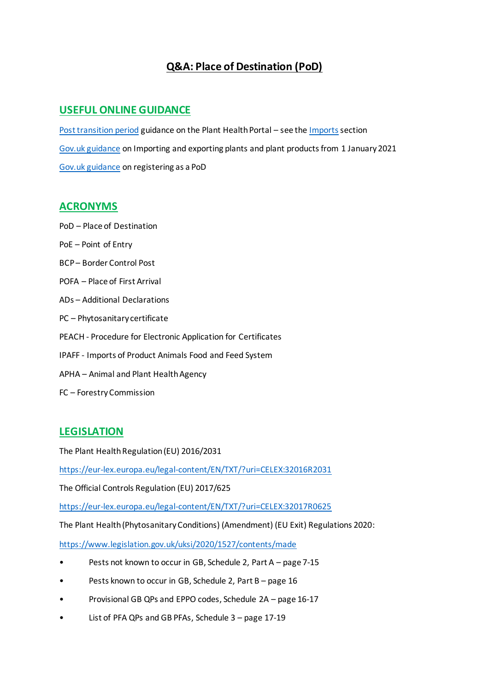# **Q&A: Place of Destination (PoD)**

# **USEFUL ONLINE GUIDANCE**

[Post transition period](https://planthealthportal.defra.gov.uk/eu-exit-guidance/) guidance on the Plant Health Portal – see th[e Imports](https://planthealthportal.defra.gov.uk/eu-exit-guidance/new-imports-guidance/) section [Gov.uk guidance](https://www.gov.uk/guidance/importing-and-exporting-plants-and-plant-products-from-1-january-2021) on Importing and exporting plants and plant products from 1 January 2021 [Gov.uk guidance](https://www.gov.uk/guidance/importing-and-exporting-plants-and-plant-products-from-1-january-2021) on registering as a PoD

# **ACRONYMS**

PoD – Place of Destination PoE – Point of Entry BCP – Border Control Post POFA – Place of First Arrival ADs – Additional Declarations PC – Phytosanitary certificate PEACH - Procedure for Electronic Application for Certificates IPAFF - Imports of Product Animals Food and Feed System APHA – Animal and Plant Health Agency FC – Forestry Commission

# **LEGISLATION**

The Plant Health Regulation (EU) 2016/2031

<https://eur-lex.europa.eu/legal-content/EN/TXT/?uri=CELEX:32016R2031>

The Official Controls Regulation (EU) 2017/625

<https://eur-lex.europa.eu/legal-content/EN/TXT/?uri=CELEX:32017R0625>

The Plant Health (Phytosanitary Conditions) (Amendment) (EU Exit) Regulations 2020:

<https://www.legislation.gov.uk/uksi/2020/1527/contents/made>

- Pests not known to occur in GB, Schedule 2, Part A page 7-15
- Pests known to occur in GB, Schedule 2, Part B page 16
- Provisional GB QPs and EPPO codes, Schedule 2A page 16-17
- List of PFA QPs and GB PFAs, Schedule 3 page 17-19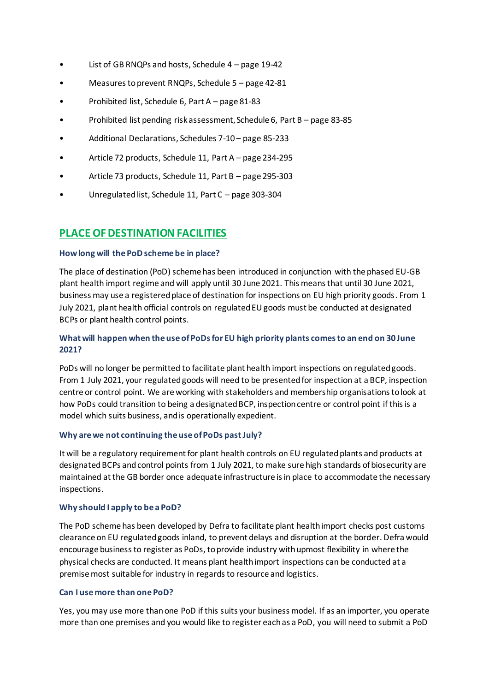- List of GB RNQPs and hosts, Schedule 4 page 19-42
- Measures to prevent RNQPs, Schedule 5 page 42-81
- Prohibited list, Schedule 6, Part A page 81-83
- Prohibited list pending risk assessment, Schedule 6, Part B page 83-85
- Additional Declarations, Schedules 7-10 page 85-233
- Article 72 products, Schedule 11, Part A page 234-295
- Article 73 products, Schedule 11, Part B page 295-303
- Unregulated list, Schedule 11, Part C page 303-304

# **PLACE OF DESTINATION FACILITIES**

### **How long will the PoD scheme be in place?**

The place of destination (PoD) scheme has been introduced in conjunction with the phased EU-GB plant health import regime and will apply until 30 June 2021. This means that until 30 June 2021, business may use a registered place of destination for inspections on EU high priority goods. From 1 July 2021, plant health official controls on regulated EU goods must be conducted at designated BCPs or plant health control points.

## **What will happen when the use of PoDs for EU high priority plants comes to an end on 30 June 2021?**

PoDs will no longer be permitted to facilitate plant health import inspections on regulated goods. From 1 July 2021, your regulated goods will need to be presented for inspection at a BCP, inspection centre or control point. We are working with stakeholders and membership organisations to look at how PoDs could transition to being a designated BCP, inspection centre or control point if this is a model which suits business, and is operationally expedient.

### **Why are we not continuing the use of PoDs past July?**

It will be a regulatory requirement for plant health controls on EU regulated plants and products at designated BCPs and control points from 1 July 2021, to make sure high standards of biosecurity are maintained at the GB border once adequate infrastructure is in place to accommodate the necessary inspections.

### **Why should I apply to be a PoD?**

The PoD scheme has been developed by Defra to facilitate plant health import checks post customs clearance on EU regulated goods inland, to prevent delays and disruption at the border. Defra would encourage business to register as PoDs, to provide industry with upmost flexibility in where the physical checks are conducted. It means plant health import inspections can be conducted at a premise most suitable for industry in regards to resource and logistics.

### **Can I use more than one PoD?**

Yes, you may use more than one PoD if this suits your business model. If as an importer, you operate more than one premises and you would like to register each as a PoD, you will need to submit a PoD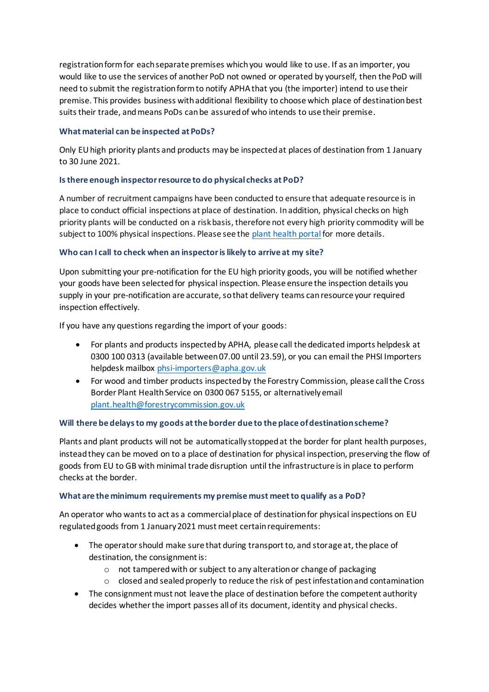registration form for each separate premises which you would like to use. If as an importer, you would like to use the services of another PoD not owned or operated by yourself, then the PoD will need to submit the registration form to notify APHA that you (the importer) intend to use their premise. This provides business with additional flexibility to choose which place of destination best suits their trade, and means PoDs can be assured of who intends to use their premise.

### **What material can be inspected at PoDs?**

Only EU high priority plants and products may be inspected at places of destination from 1 January to 30 June 2021.

## **Is there enough inspector resource to do physical checks at PoD?**

A number of recruitment campaigns have been conducted to ensure that adequate resource is in place to conduct official inspections at place of destination. In addition, physical checks on high priority plants will be conducted on a risk basis, therefore not every high priority commodity will be subject to 100% physical inspections. Please see the [plant health portal](https://planthealthportal.defra.gov.uk/eu-exit-guidance/new-imports-guidance/) for more details.

## **Who can I call to check when an inspector is likely to arrive at my site?**

Upon submitting your pre-notification for the EU high priority goods, you will be notified whether your goods have been selected for physical inspection. Please ensure the inspection details you supply in your pre-notification are accurate, so that delivery teams can resource your required inspection effectively.

If you have any questions regarding the import of your goods:

- For plants and products inspected by APHA, please call the dedicated imports helpdesk at 0300 100 0313 (available between 07.00 until 23.59), or you can email the PHSI Importers helpdesk mailbox [phsi-importers@apha.gov.uk](mailto:phsi-importers@apha.gov.uk)
- For wood and timber products inspected by the Forestry Commission, please call the Cross Border Plant Health Service on 0300 067 5155, or alternatively email [plant.health@forestrycommission.gov.uk](mailto:plant.health@forestrycommission.gov.uk)

## **Will there be delays to my goods at the border due to the place of destination scheme?**

Plants and plant products will not be automatically stopped at the border for plant health purposes, instead they can be moved on to a place of destination for physical inspection, preserving the flow of goods from EU to GB with minimal trade disruption until the infrastructure is in place to perform checks at the border.

### **What are the minimum requirements my premise must meet to qualify as a PoD?**

An operator who wants to act as a commercial place of destination for physical inspections on EU regulated goods from 1 January 2021 must meet certain requirements:

- The operator should make sure that during transport to, and storage at, the place of destination, the consignment is:
	- o not tampered with or subject to any alteration or change of packaging
	- $\circ$  closed and sealed properly to reduce the risk of pest infestation and contamination
- The consignment must not leave the place of destination before the competent authority decides whether the import passes all of its document, identity and physical checks.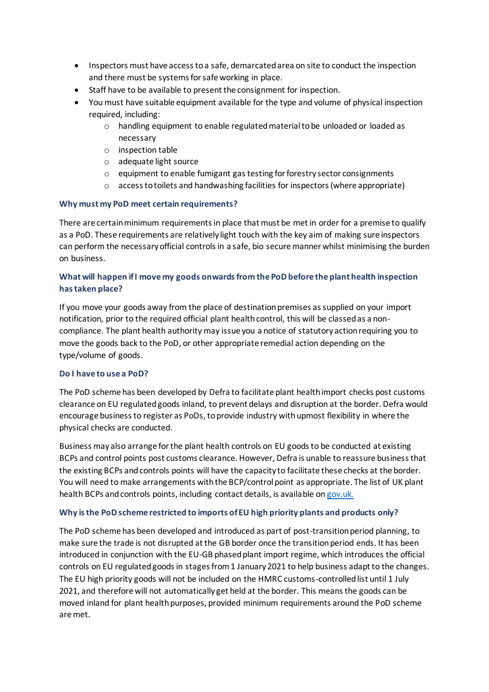- Inspectors must have access to a safe, demarcated area on site to conduct the inspection and there must be systems for safe working in place.
- Staff have to be available to present the consignment for inspection.
- You must have suitable equipment available for the type and volume of physical inspection required, including:
	- o handling equipment to enable regulated material to be unloaded or loaded as necessary
	- o inspection table
	- o adequate light source
	- $\circ$  equipment to enable fumigant gas testing for forestry sector consignments
	- o access to toilets and handwashing facilities for inspectors (where appropriate)

# **Why must my PoD meet certain requirements?**

There are certain minimum requirements in place that must be met in order for a premise to qualify as a PoD. These requirements are relatively light touch with the key aim of making sure inspectors can perform the necessary official controls in a safe, bio secure manner whilst minimising the burden on business.

# **What will happen if I move my goods onwards from the PoD before the plant health inspection has taken place?**

If you move your goods away from the place of destination premises as supplied on your import notification, prior to the required official plant health control, this will be classed as a noncompliance. The plant health authority may issue you a notice of statutory action requiring you to move the goods back to the PoD, or other appropriate remedial action depending on the type/volume of goods.

## **Do I have to use a PoD?**

The PoD scheme has been developed by Defra to facilitate plant health import checks post customs clearance on EU regulated goods inland, to prevent delays and disruption at the border. Defra would encourage business to register as PoDs, to provide industry with upmost flexibility in where the physical checks are conducted.

Business may also arrange for the plant health controls on EU goods to be conducted at existing BCPs and control points post customs clearance. However, Defra is unable to reassure business that the existing BCPs and controls points will have the capacity to facilitate these checks at the border. You will need to make arrangements with the BCP/control point as appropriate. The list of UK plant health BCPs and controls points, including contact details, is available on [gov.uk.](https://www.gov.uk/government/publications/plant-imports-authorised-points-of-entry-to-the-uk)

## **Why is the PoD scheme restricted to imports of EU high priority plants and products only?**

The PoD scheme has been developed and introduced as part of post-transition period planning, to make sure the trade is not disrupted at the GB border once the transition period ends. It has been introduced in conjunction with the EU-GB phased plant import regime, which introduces the official controls on EU regulated goods in stages from 1 January 2021 to help business adapt to the changes. The EU high priority goods will not be included on the HMRC customs-controlled list until 1 July 2021, and therefore will not automatically get held at the border. This means the goods can be moved inland for plant health purposes, provided minimum requirements around the PoD scheme are met.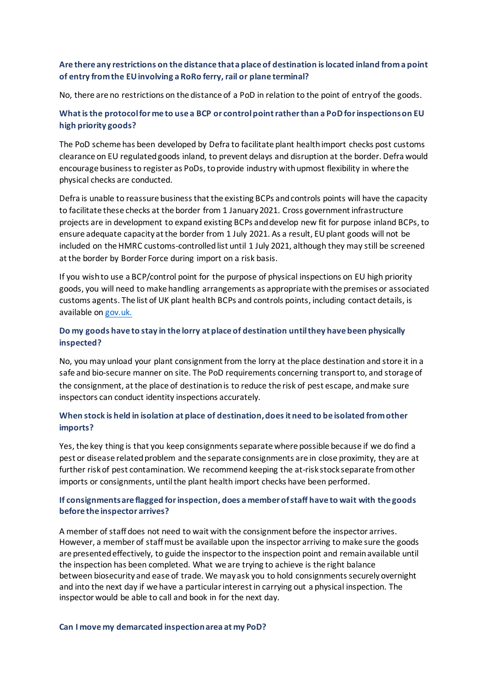## **Are there any restrictions on the distance that a place of destination is located inland from a point of entry from the EU involving a RoRo ferry, rail or plane terminal?**

No, there are no restrictions on the distance of a PoD in relation to the point of entry of the goods.

# **What is the protocol for me to use a BCP or control point rather than a PoD for inspections on EU high priority goods?**

The PoD scheme has been developed by Defra to facilitate plant health import checks post customs clearance on EU regulated goods inland, to prevent delays and disruption at the border. Defra would encourage business to register as PoDs, to provide industry with upmost flexibility in where the physical checks are conducted.

Defra is unable to reassure business that the existing BCPs and controls points will have the capacity to facilitate these checks at the border from 1 January 2021. Cross government infrastructure projects are in development to expand existing BCPs and develop new fit for purpose inland BCPs, to ensure adequate capacity at the border from 1 July 2021. As a result, EU plant goods will not be included on the HMRC customs-controlled list until 1 July 2021, although they may still be screened at the border by Border Force during import on a risk basis.

If you wish to use a BCP/control point for the purpose of physical inspections on EU high priority goods, you will need to make handling arrangements as appropriate with the premises or associated customs agents. The list of UK plant health BCPs and controls points, including contact details, is available on [gov.uk.](https://www.gov.uk/government/publications/plant-imports-authorised-points-of-entry-to-the-uk)

# **Do my goods have to stay in the lorry at place of destination until they have been physically inspected?**

No, you may unload your plant consignment from the lorry at the place destination and store it in a safe and bio-secure manner on site. The PoD requirements concerning transport to, and storage of the consignment, at the place of destination is to reduce the risk of pest escape, and make sure inspectors can conduct identity inspections accurately.

## **When stock is held in isolation at place of destination, does it need to be isolated from other imports?**

Yes, the key thing is that you keep consignmentsseparate where possible because if we do find a pest or disease related problem and the separate consignments are in close proximity, they are at further risk of pest contamination. We recommend keeping the at-risk stock separate from other imports or consignments, until the plant health import checks have been performed.

## **If consignments are flagged for inspection, does a member of staff have to wait with the goods before the inspector arrives?**

A member of staff does not need to wait with the consignment before the inspector arrives. However, a member of staff must be available upon the inspector arriving to make sure the goods are presented effectively, to guide the inspector to the inspection point and remain available until the inspection has been completed. What we are trying to achieve is the right balance between biosecurity and ease of trade. We may ask you to hold consignments securely overnight and into the next day if we have a particular interest in carrying out a physical inspection. The inspector would be able to call and book in for the next day.

#### **Can I move my demarcated inspection area at my PoD?**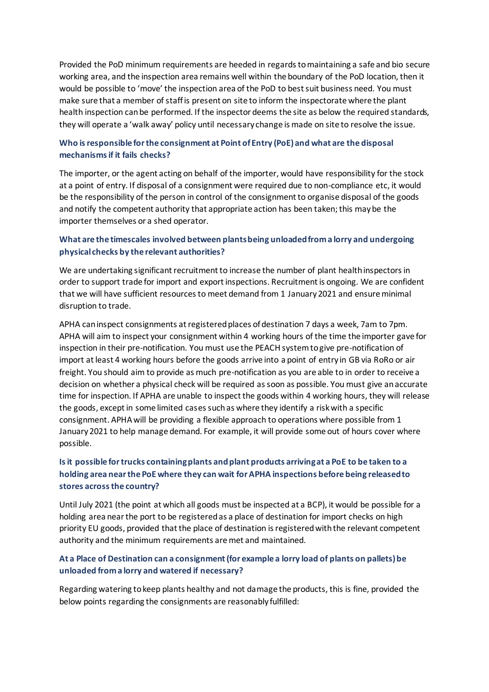Provided the PoD minimum requirements are heeded in regards to maintaining a safe and bio secure working area, and the inspection area remains well within the boundary of the PoD location, then it would be possible to 'move' the inspection area of the PoD to best suit business need. You must make sure that a member of staff is present on site to inform the inspectorate where the plant health inspection can be performed. If the inspector deems the site as below the required standards, they will operate a 'walk away' policy until necessary change is made on site to resolve the issue.

# **Who is responsible for the consignment at Point of Entry (PoE) and what are the disposal mechanisms if it fails checks?**

The importer, or the agent acting on behalf of the importer, would have responsibility for the stock at a point of entry. If disposal of a consignment were required due to non-compliance etc, it would be the responsibility of the person in control of the consignment to organise disposal of the goods and notify the competent authority that appropriate action has been taken; this may be the importer themselves or a shed operator.

# **What are the timescales involved between plants being unloaded from a lorry and undergoing physical checks by the relevant authorities?**

We are undertaking significant recruitment to increase the number of plant health inspectors in order to support trade for import and export inspections. Recruitment is ongoing. We are confident that we will have sufficient resources to meet demand from 1 January 2021 and ensure minimal disruption to trade.

APHA can inspect consignments at registered places of destination 7 days a week, 7am to 7pm. APHA will aim to inspect your consignment within 4 working hours of the time the importer gave for inspection in their pre-notification. You must use the PEACH system to give pre-notification of import at least 4 working hours before the goods arrive into a point of entry in GB via RoRo or air freight. You should aim to provide as much pre-notification as you are able to in order to receive a decision on whether a physical check will be required as soon as possible. You must give an accurate time for inspection. If APHA are unable to inspect the goods within 4 working hours, they will release the goods, except in some limited cases such as where they identify a risk with a specific consignment. APHA will be providing a flexible approach to operations where possible from 1 January 2021 to help manage demand. For example, it will provide some out of hours cover where possible.

# **Is it possible for trucks containing plants and plant products arriving at a PoE to be taken to a holding area near the PoE where they can wait for APHA inspections before being released to stores across the country?**

Until July 2021 (the point at which all goods must be inspected at a BCP), it would be possible for a holding area near the port to be registered as a place of destination for import checks on high priority EU goods, provided that the place of destination is registered with the relevant competent authority and the minimum requirements are met and maintained.

# **At a Place of Destination can a consignment (for example a lorry load of plants on pallets) be unloaded from a lorry and watered if necessary?**

Regarding watering to keep plants healthy and not damage the products, this is fine, provided the below points regarding the consignments are reasonably fulfilled: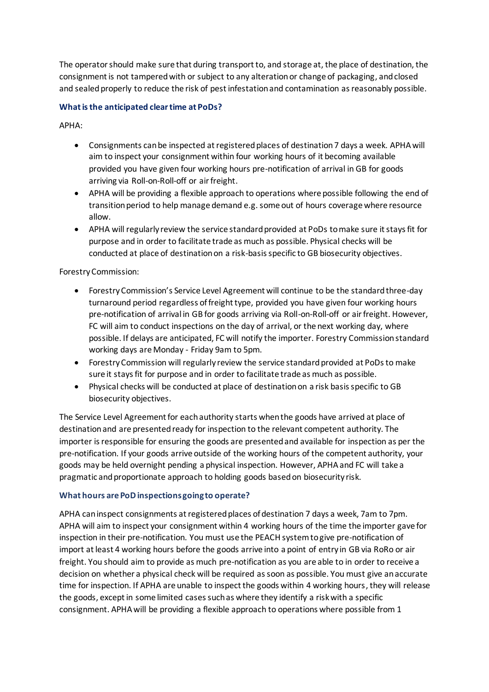The operator should make sure that during transport to, and storage at, the place of destination, the consignment is not tampered with or subject to any alteration or change of packaging, and closed and sealed properly to reduce the risk of pest infestation and contamination as reasonably possible.

## **What is the anticipated clear time at PoDs?**

APHA:

- Consignments can be inspected at registered places of destination 7 days a week. APHA will aim to inspect your consignment within four working hours of it becoming available provided you have given four working hours pre-notification of arrival in GB for goods arriving via Roll-on-Roll-off or air freight.
- APHA will be providing a flexible approach to operations where possible following the end of transition period to help manage demand e.g. some out of hours coverage where resource allow.
- APHA will regularly review the service standard provided at PoDs to make sure it stays fit for purpose and in order to facilitate trade as much as possible. Physical checks will be conducted at place of destination on a risk-basis specific to GB biosecurity objectives.

Forestry Commission:

- Forestry Commission's Service Level Agreement will continue to be the standard three-day turnaround period regardless of freight type, provided you have given four working hours pre-notification of arrival in GB for goods arriving via Roll-on-Roll-off or air freight. However, FC will aim to conduct inspections on the day of arrival, or the next working day, where possible. If delays are anticipated, FC will notify the importer. Forestry Commission standard working days are Monday - Friday 9am to 5pm.
- Forestry Commission will regularly review the service standard provided at PoDs to make sure it stays fit for purpose and in order to facilitate trade as much as possible.
- Physical checks will be conducted at place of destination on a risk basis specific to GB biosecurity objectives.

The Service Level Agreement for each authority starts when the goods have arrived at place of destination and are presented ready for inspection to the relevant competent authority. The importer is responsible for ensuring the goods are presented and available for inspection as per the pre-notification. If your goods arrive outside of the working hours of the competent authority, your goods may be held overnight pending a physical inspection. However, APHA and FC will take a pragmatic and proportionate approach to holding goods based on biosecurity risk.

### **What hours are PoD inspections going to operate?**

APHA can inspect consignments at registered places of destination 7 days a week, 7am to 7pm. APHA will aim to inspect your consignment within 4 working hours of the time the importer gave for inspection in their pre-notification. You must use the PEACH system to give pre-notification of import at least 4 working hours before the goods arrive into a point of entry in GB via RoRo or air freight. You should aim to provide as much pre-notification as you are able to in order to receive a decision on whether a physical check will be required as soon as possible. You must give an accurate time for inspection. If APHA are unable to inspect the goods within 4 working hours, they will release the goods, except in some limited cases such as where they identify a risk with a specific consignment. APHA will be providing a flexible approach to operations where possible from 1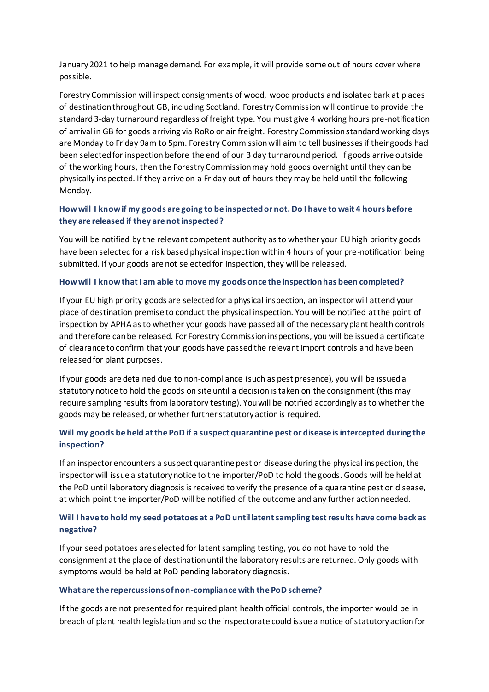January 2021 to help manage demand. For example, it will provide some out of hours cover where possible.

Forestry Commission will inspect consignments of wood, wood products and isolated bark at places of destination throughout GB, including Scotland. Forestry Commission will continue to provide the standard3-day turnaround regardless of freight type. You must give 4 working hours pre-notification of arrival in GB for goods arriving via RoRo or air freight. Forestry Commission standard working days are Monday to Friday 9am to 5pm. Forestry Commission will aim to tell businesses if their goods had been selected for inspection before the end of our 3 day turnaround period. If goods arrive outside of the working hours, then the Forestry Commission may hold goods overnight until they can be physically inspected. If they arrive on a Friday out of hours they may be held until the following Monday.

# **How will I know if my goods are going to be inspected or not. Do I have to wait 4 hours before they are released if they are not inspected?**

You will be notified by the relevant competent authority as to whether your EU high priority goods have been selected for a risk based physical inspection within 4 hours of your pre-notification being submitted. If your goods are not selected for inspection, they will be released.

### **How will I know that I am able to move my goods once the inspection has been completed?**

If your EU high priority goods are selected for a physical inspection, an inspector will attend your place of destination premise to conduct the physical inspection. You will be notified at the point of inspection by APHA as to whether your goods have passed all of the necessary plant health controls and therefore can be released. For Forestry Commission inspections, you will be issued a certificate of clearance to confirm that your goods have passed the relevant import controls and have been released for plant purposes.

If your goods are detained due to non-compliance (such as pest presence), you will be issued a statutory notice to hold the goods on site until a decision is taken on the consignment (this may require sampling results from laboratory testing). You will be notified accordingly as to whether the goods may be released, or whether further statutory action is required.

# **Will my goods be held at the PoD if a suspect quarantine pest or disease is intercepted during the inspection?**

If an inspector encounters a suspect quarantine pest or disease during the physical inspection, the inspector will issue a statutory notice to the importer/PoD to hold the goods. Goods will be held at the PoD until laboratory diagnosis is received to verify the presence of a quarantine pest or disease, at which point the importer/PoD will be notified of the outcome and any further action needed.

## **Will I have to hold my seed potatoes at a PoD until latent sampling test results have come back as negative?**

If your seed potatoes are selected for latent sampling testing, you do not have to hold the consignment at the place of destination until the laboratory results are returned. Only goods with symptoms would be held at PoD pending laboratory diagnosis.

### **What are the repercussions of non-compliance with the PoD scheme?**

If the goods are not presented for required plant health official controls, the importer would be in breach of plant health legislation and so the inspectorate could issue a notice of statutory action for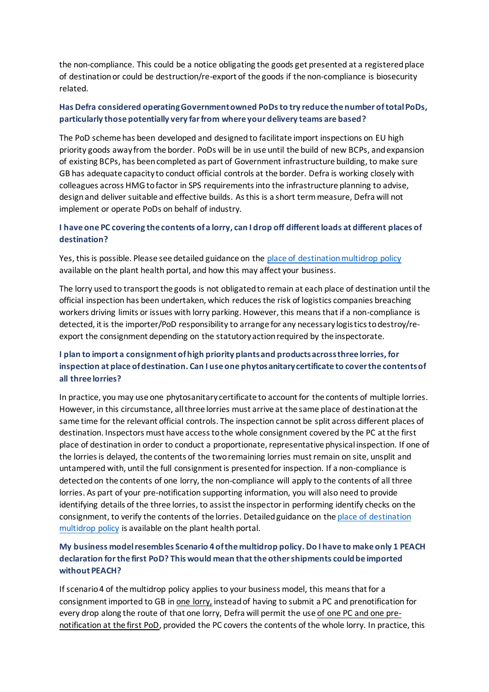the non-compliance. This could be a notice obligating the goods get presented at a registered place of destination or could be destruction/re-export of the goods if the non-compliance is biosecurity related.

# **Has Defra considered operatingGovernment owned PoDs to try reduce the number of total PoDs, particularly those potentially very far from where your delivery teams are based?**

The PoD scheme has been developed and designed to facilitate import inspections on EU high priority goods away from the border. PoDs will be in use until the build of new BCPs, and expansion of existing BCPs, has been completed as part of Government infrastructure building, to make sure GB has adequate capacity to conduct official controls at the border. Defra is working closely with colleagues across HMG to factor in SPS requirements into the infrastructure planning to advise, design and deliver suitable and effective builds. As this is a short term measure, Defra will not implement or operate PoDs on behalf of industry.

# **I have one PC covering the contents of a lorry, can I drop off different loads at different places of destination?**

Yes, this is possible. Please see detailed guidance on th[e place of destination multidrop policy](https://planthealthportal.defra.gov.uk/assets/uploads/Cleared-Multidrop-guidance-PDF.pdf) available on the plant health portal, and how this may affect your business.

The lorry used to transport the goods is not obligated to remain at each place of destination until the official inspection has been undertaken, which reduces the risk of logistics companies breaching workers driving limits or issues with lorry parking. However, this means that if a non-compliance is detected, it is the importer/PoD responsibility to arrange for any necessary logistics to destroy/reexport the consignment depending on the statutory action required by the inspectorate.

# **I plan to import a consignment of high priority plants and products across three lorries, for inspection at place of destination. Can I use one phytosanitary certificate to cover the contents of all three lorries?**

In practice, you may use one phytosanitary certificate to account for the contents of multiple lorries. However, in this circumstance, all three lorries must arrive at the same place of destination at the same time for the relevant official controls. The inspection cannot be split across different places of destination. Inspectors must have access to the whole consignment covered by the PC at the first place of destination in order to conduct a proportionate, representative physical inspection. If one of the lorries is delayed, the contents of the two remaining lorries must remain on site, unsplit and untampered with, until the full consignment is presented for inspection. If a non-compliance is detected on the contents of one lorry, the non-compliance will apply to the contents of all three lorries. As part of your pre-notification supporting information, you will also need to provide identifying details of the three lorries, to assist the inspector in performing identify checks on the consignment, to verify the contents of the lorries. Detailed guidance on th[e place of destination](file:///C:/Users/x954000/AppData/Local/Microsoft/Windows/INetCache/Content.Outlook/89SYTMI4/The%20lorry%20is%20not%20obligated%20to%20remain%20at%20the%20place%20of%20destination%20until%20the%20official%20inspection%20has%20been%20undertaken,%20which%20reduces%20the%20risk%20of%20logistics%20companies%20breaching%20workers%20driving%20limits%20or%20issues%20with%20lorry%20parking.%20However,%20this%20means%20that%20if%20a%20non-compliance%20is%20detected,%20it%20is%20the%20importer/PoD%20responsibility%20to%20arrange%20for%20any%20necessary%20logistics%20to%20destroy/re-export%20the%20consignment%20depending%20on%20the%20statutory%20action%20required%20by%20the%20inspectorate.)  [multidrop policy](file:///C:/Users/x954000/AppData/Local/Microsoft/Windows/INetCache/Content.Outlook/89SYTMI4/The%20lorry%20is%20not%20obligated%20to%20remain%20at%20the%20place%20of%20destination%20until%20the%20official%20inspection%20has%20been%20undertaken,%20which%20reduces%20the%20risk%20of%20logistics%20companies%20breaching%20workers%20driving%20limits%20or%20issues%20with%20lorry%20parking.%20However,%20this%20means%20that%20if%20a%20non-compliance%20is%20detected,%20it%20is%20the%20importer/PoD%20responsibility%20to%20arrange%20for%20any%20necessary%20logistics%20to%20destroy/re-export%20the%20consignment%20depending%20on%20the%20statutory%20action%20required%20by%20the%20inspectorate.) is available on the plant health portal.

# **My business model resembles Scenario 4 of the multidrop policy. Do I have to make only 1 PEACH declaration for the first PoD? This would mean that the other shipments could be imported without PEACH?**

If scenario 4 of the multidrop policy applies to your business model, this means that for a consignment imported to GB in one lorry, instead of having to submit a PC and prenotification for every drop along the route of that one lorry, Defra will permit the use of one PC and one prenotification at the first PoD, provided the PC covers the contents of the whole lorry. In practice, this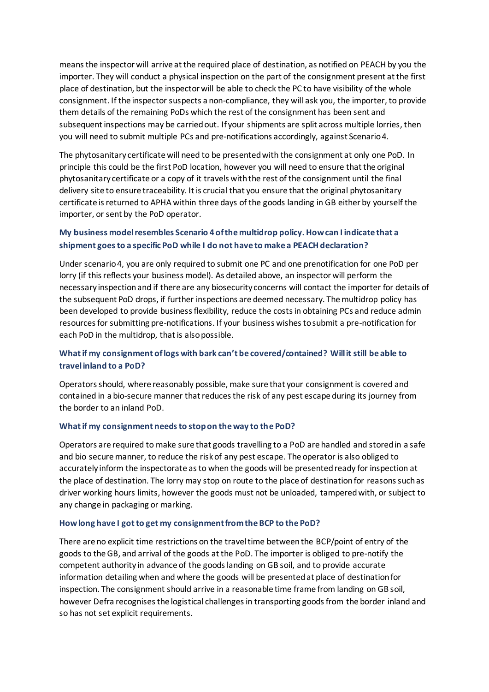means the inspector will arrive at the required place of destination, as notified on PEACH by you the importer. They will conduct a physical inspection on the part of the consignment present at the first place of destination, but the inspector will be able to check the PC to have visibility of the whole consignment. If the inspector suspects a non-compliance, they will ask you, the importer, to provide them details of the remaining PoDs which the rest of the consignment has been sent and subsequent inspections may be carried out. If your shipments are split across multiple lorries, then you will need to submit multiple PCs and pre-notifications accordingly, against Scenario 4.

The phytosanitary certificate will need to be presented with the consignment at only one PoD. In principle this could be the first PoD location, however you will need to ensure that the original phytosanitary certificate or a copy of it travels with the rest of the consignment until the final delivery site to ensure traceability. It is crucial that you ensure that the original phytosanitary certificate is returned to APHA within three days of the goods landing in GB either by yourself the importer, or sent by the PoD operator.

# **My business model resembles Scenario 4 of the multidrop policy. How can I indicate that a shipment goes to a specific PoD while I do not have to make a PEACH declaration?**

Under scenario 4, you are only required to submit one PC and one prenotification for one PoD per lorry (if this reflects your business model). As detailed above, an inspector will perform the necessary inspection and if there are any biosecurity concerns will contact the importer for details of the subsequent PoD drops, if further inspections are deemed necessary. The multidrop policy has been developed to provide business flexibility, reduce the costs in obtaining PCs and reduce admin resources for submitting pre-notifications. If your business wishes to submit a pre-notification for each PoD in the multidrop, that is also possible.

# **What if my consignment of logs with bark can't be covered/contained? Will it still be able to travel inland to a PoD?**

Operators should, where reasonably possible, make sure that your consignment is covered and contained in a bio-secure manner that reduces the risk of any pest escape during its journey from the border to an inland PoD.

### **What if my consignment needs to stop on the way to the PoD?**

Operators are required to make sure that goods travelling to a PoD are handled and stored in a safe and bio secure manner, to reduce the risk of any pest escape. The operator is also obliged to accurately inform the inspectorate as to when the goods will be presented ready for inspection at the place of destination. The lorry may stop on route to the place of destination for reasons such as driver working hours limits, however the goods must not be unloaded, tampered with, or subject to any change in packaging or marking.

#### **How long have I got to get my consignmentfrom the BCP to the PoD?**

There are no explicit time restrictions on the travel time between the BCP/point of entry of the goods to the GB, and arrival of the goods at the PoD. The importer is obliged to pre-notify the competent authority in advance of the goods landing on GB soil, and to provide accurate information detailing when and where the goods will be presented at place of destination for inspection. The consignment should arrive in a reasonable time frame from landing on GB soil, however Defra recognises the logistical challenges in transporting goods from the border inland and so has not set explicit requirements.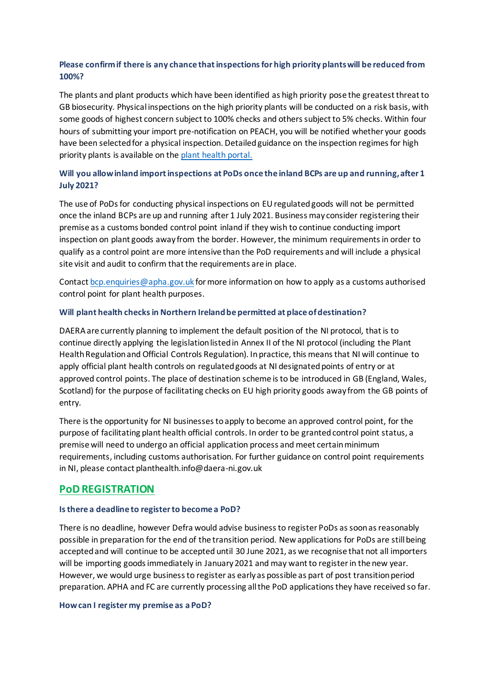# **Please confirm if there is any chance that inspections for high priority plants will be reduced from 100%?**

The plants and plant products which have been identified as high priority pose the greatest threat to GB biosecurity. Physical inspections on the high priority plants will be conducted on a risk basis, with some goods of highest concern subject to 100% checks and others subject to 5% checks. Within four hours of submitting your import pre-notification on PEACH, you will be notified whether your goods have been selected for a physical inspection. Detailed guidance on the inspection regimes for high priority plants is available on the [plant health portal.](https://planthealthportal.defra.gov.uk/eu-exit-guidance/new-imports-guidance/)

# **Will you allow inland import inspections at PoDs once the inland BCPs are up and running, after 1 July 2021?**

The use of PoDs for conducting physical inspections on EU regulated goods will not be permitted once the inland BCPs are up and running after 1 July 2021. Business may consider registering their premise as a customs bonded control point inland if they wish to continue conducting import inspection on plant goods away from the border. However, the minimum requirements in order to qualify as a control point are more intensive than the PoD requirements and will include a physical site visit and audit to confirm that the requirements are in place.

Contac[t bcp.enquiries@apha.gov.uk](mailto:bcp.enquiries@apha.gov.uk) for more information on how to apply as a customs authorised control point for plant health purposes.

### **Will plant health checks in Northern Irelandbe permitted at place of destination?**

DAERA are currently planning to implement the default position of the NI protocol, that is to continue directly applying the legislation listed in Annex II of the NI protocol (including the Plant Health Regulation and Official Controls Regulation). In practice, this means that NI will continue to apply official plant health controls on regulated goods at NI designated points of entry or at approved control points. The place of destination scheme is to be introduced in GB (England, Wales, Scotland) for the purpose of facilitating checks on EU high priority goods away from the GB points of entry.

There is the opportunity for NI businesses to apply to become an approved control point, for the purpose of facilitating plant health official controls. In order to be granted control point status, a premise will need to undergo an official application process and meet certain minimum requirements, including customs authorisation. For further guidance on control point requirements in NI, please contact planthealth.info@daera-ni.gov.uk

# **PoD REGISTRATION**

### **Is there a deadline to registerto become a PoD?**

There is no deadline, however Defra would advise business to register PoDs as soon as reasonably possible in preparation for the end of the transition period. New applications for PoDs are still being accepted and will continue to be accepted until 30 June 2021, as we recognise that not all importers will be importing goods immediately in January 2021 and may want to register in the new year. However, we would urge business to register as early as possible as part of post transition period preparation. APHA and FC are currently processing all the PoD applications they have received so far.

### **How can I register my premise as a PoD?**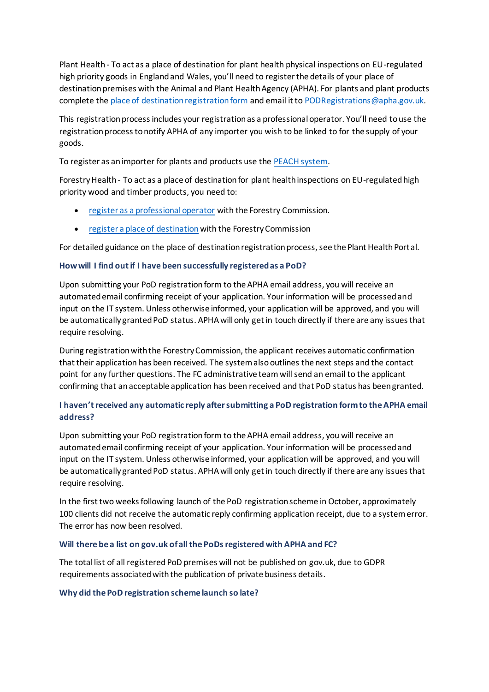Plant Health - To act as a place of destination for plant health physical inspections on EU-regulated high priority goods in England and Wales, you'll need to register the details of your place of destination premises with the Animal and Plant Health Agency (APHA). For plants and plant products complete th[e place of destination registration form](https://www.gov.uk/government/publications/place-of-destination-plants-and-plant-products) and email it t[o PODRegistrations@apha.gov.uk](mailto:PODRegistrations@apha.gov.uk).

This registration process includes your registration as a professional operator. You'll need to use the registration process to notify APHA of any importer you wish to be linked to for the supply of your goods.

To register as an importer for plants and products use th[e PEACH system.](http://ehmipeach.defra.gov.uk/Default.aspx?Module=Register)

Forestry Health - To act as a place of destination for plant health inspections on EU-regulated high priority wood and timber products, you need to:

- [register as a professional operator](https://forms.office.com/Pages/ResponsePage.aspx?id=6SXFBeT5okyMVeR0AnLDvIanuLidfFdBsPbzaC6GQc9UN0hWREVEMTdXQTZZMDdGUU1YRkVKQ01JVy4u) with the Forestry Commission.
- [register a place of destination](https://www.gov.uk/government/collections/importing-and-exporting-wood-and-timber-products#forms) with the Forestry Commission

For detailed guidance on the place of destination registration process, see the Plant Health Portal.

### **How will I find out if I have been successfully registered as a PoD?**

Upon submitting your PoD registration form to the APHA email address, you will receive an automated email confirming receipt of your application. Your information will be processed and input on the IT system. Unless otherwise informed, your application will be approved, and you will be automatically granted PoD status. APHA will only get in touch directly if there are any issues that require resolving.

During registration with the Forestry Commission, the applicant receives automatic confirmation that their application has been received. The system also outlines the next steps and the contact point for any further questions. The FC administrative teamwill send an email to the applicant confirming that an acceptable application has been received and that PoD status has been granted.

# **I haven't received any automatic reply after submitting a PoD registration form to the APHA email address?**

Upon submitting your PoD registration form to the APHA email address, you will receive an automated email confirming receipt of your application. Your information will be processed and input on the IT system. Unless otherwise informed, your application will be approved, and you will be automatically granted PoD status. APHA will only get in touch directly if there are any issues that require resolving.

In the first two weeks following launch of the PoD registration scheme in October, approximately 100 clients did not receive the automatic reply confirming application receipt, due to a system error. The error has now been resolved.

### **Will there be a list on gov.uk of all the PoDsregistered with APHA and FC?**

The total list of all registered PoD premises will not be published on gov.uk, due to GDPR requirements associated with the publication of private business details.

### **Why did the PoD registration scheme launch so late?**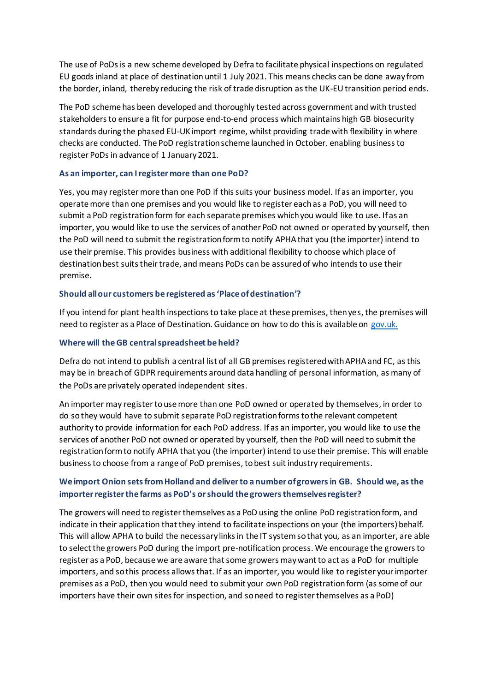The use of PoDs is a new scheme developed by Defra to facilitate physical inspections on regulated EU goods inland at place of destination until 1 July 2021. This means checks can be done away from the border, inland, thereby reducing the risk of trade disruption as the UK-EU transition period ends.

The PoD scheme has been developed and thoroughly tested across government and with trusted stakeholders to ensure a fit for purpose end-to-end process which maintains high GB biosecurity standards during the phased EU-UK import regime, whilst providing trade with flexibility in where checks are conducted. The PoD registration scheme launched in October, enabling business to register PoDs in advance of 1 January 2021.

## **As an importer, can I register more than one PoD?**

Yes, you may register more than one PoD if this suits your business model. If as an importer, you operate more than one premises and you would like to register each as a PoD, you will need to submit a PoD registration form for each separate premises which you would like to use. If as an importer, you would like to use the services of another PoD not owned or operated by yourself, then the PoD will need to submit the registration form to notify APHA that you (the importer) intend to use their premise. This provides business with additional flexibility to choose which place of destination best suits their trade, and means PoDs can be assured of who intends to use their premise.

### **Should all our customers be registered as 'Place of destination'?**

If you intend for plant health inspections to take place at these premises, then yes, the premises will need to register as a Place of Destination. Guidance on how to do this is available on [gov.uk.](https://www.gov.uk/guidance/place-of-destination-checks-on-high-priority-plants-and-products-from-the-eu-from-1-january-2021)

### **Where will the GB central spreadsheet be held?**

Defra do not intend to publish a central list of all GB premises registered with APHA and FC, as this may be in breach of GDPR requirements around data handling of personal information, as many of the PoDs are privately operated independent sites.

An importer may register to use more than one PoD owned or operated by themselves, in order to do so they would have to submit separate PoD registration forms to the relevant competent authority to provide information for each PoD address. If as an importer, you would like to use the services of another PoD not owned or operated by yourself, then the PoD will need to submit the registration form to notify APHA that you (the importer) intend to use their premise. This will enable business to choose from a range of PoD premises, to best suit industry requirements.

# **We import Onion sets from Holland and deliver to a number of growers in GB. Should we, as the importer register the farms as PoD's or should the growers themselves register?**

The growers will need to register themselves as a PoD using the online PoD registration form, and indicate in their application that they intend to facilitate inspections on your (the importers) behalf. This will allow APHA to build the necessary links in the IT system so that you, as an importer, are able to select the growers PoD during the import pre-notification process. We encourage the growers to register as a PoD, because we are aware that some growers may want to act as a PoD for multiple importers, and so this process allows that. If as an importer, you would like to register your importer premises as a PoD, then you would need to submit your own PoD registration form (as some of our importers have their own sites for inspection, and so need to register themselves as a PoD)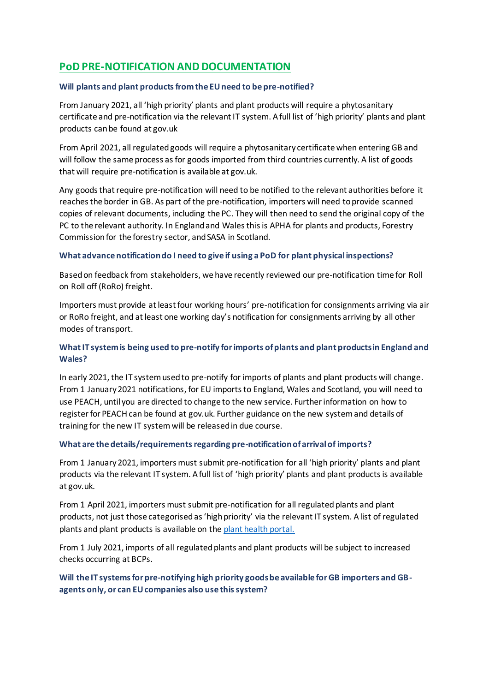# **PoD PRE-NOTIFICATION AND DOCUMENTATION**

### **Will plants and plant products from the EU need to be pre-notified?**

From January 2021, all 'high priority' plants and plant products will require a phytosanitary certificate and pre-notification via the relevant IT system. A full list of 'high priority' plants and plant products can be found at gov.uk

From April 2021, all regulated goods will require a phytosanitary certificate when entering GB and will follow the same process as for goods imported from third countries currently. A list of goods that will require pre-notification is available at gov.uk.

Any goods that require pre-notification will need to be notified to the relevant authorities before it reaches the border in GB. As part of the pre-notification, importers will need to provide scanned copies of relevant documents, including the PC. They will then need to send the original copy of the PC to the relevant authority. In England and Wales this is APHA for plants and products, Forestry Commission for the forestry sector, and SASA in Scotland.

### **What advance notification do I need to give if using a PoD for plant physical inspections?**

Based on feedback from stakeholders, we have recently reviewed our pre-notification time for Roll on Roll off (RoRo) freight.

Importers must provide at least four working hours' pre-notification for consignments arriving via air or RoRo freight, and at least one working day's notification for consignments arriving by all other modes of transport.

# **What IT system is being used to pre-notify for imports of plants and plant products in England and Wales?**

In early 2021, the IT system used to pre-notify for imports of plants and plant products will change. From 1 January 2021 notifications, for EU imports to England, Wales and Scotland, you will need to use PEACH, until you are directed to change to the new service. Further information on how to register for PEACH can be found at gov.uk. Further guidance on the new system and details of training for the new IT systemwill be released in due course.

### **What are the details/requirements regarding pre-notification of arrival of imports?**

From 1 January 2021, importers must submit pre-notification for all 'high priority' plants and plant products via the relevant IT system. A full list of 'high priority' plants and plant products is available at gov.uk.

From 1 April 2021, importers must submit pre-notification for all regulated plants and plant products, not just those categorised as 'high priority' via the relevant IT system. A list of regulated plants and plant products is available on th[e plant health portal.](https://planthealthportal.defra.gov.uk/eu-exit-guidance/)

From 1 July 2021, imports of all regulated plants and plant products will be subject to increased checks occurring at BCPs.

**Will the IT systems for pre-notifying high priority goods be available for GB importers and GBagents only, or can EU companies also use this system?**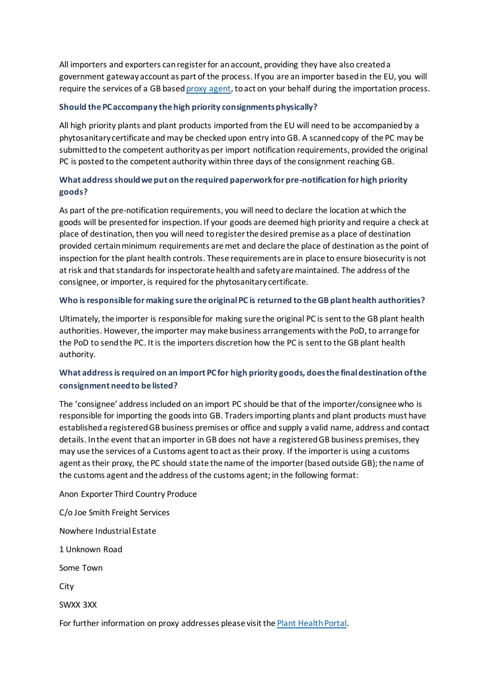All importers and exporters can register for an account, providing they have also created a government gateway account as part of the process. If you are an importer based in the EU, you will require the services of a GB base[d proxy agent,](https://planthealthportal.defra.gov.uk/assets/uploads/Defra-guidance-for-professional-operators-Final.pdf) to act on your behalf during the importation process.

### **Should the PC accompany the high priority consignments physically?**

All high priority plants and plant products imported from the EU will need to be accompanied by a phytosanitary certificate and may be checked upon entry into GB. A scanned copy of the PC may be submitted to the competent authority as per import notification requirements, provided the original PC is posted to the competent authority within three days of the consignment reaching GB.

# **What address should we put on the required paperwork for pre-notification for high priority goods?**

As part of the pre-notification requirements, you will need to declare the location at which the goods will be presented for inspection. If your goods are deemed high priority and require a check at place of destination, then you will need to register the desired premise as a place of destination provided certain minimum requirements are met and declare the place of destination as the point of inspection for the plant health controls. These requirements are in place to ensure biosecurity is not at risk and that standards for inspectorate health and safety are maintained. The address of the consignee, or importer, is required for the phytosanitary certificate.

### **Who is responsible for making sure the original PC is returned to the GB plant health authorities?**

Ultimately, the importer is responsible for making sure the original PC is sent to the GB plant health authorities. However, the importer may make business arrangements with the PoD, to arrange for the PoD to send the PC. It is the importers discretion how the PC is sent to the GB plant health authority.

# **What address is required on an import PC for high priority goods, does the final destination of the consignment need to be listed?**

The 'consignee' address included on an import PC should be that of the importer/consignee who is responsible for importing the goods into GB. Traders importing plants and plant products must have established a registered GB business premises or office and supply a valid name, address and contact details. In the event that an importer in GB does not have a registered GB business premises, they may use the services of a Customs agent to act as their proxy. If the importer is using a customs agent as their proxy, the PC should state the name of the importer (based outside GB); the name of the customs agent and the address of the customs agent; in the following format:

Anon Exporter Third Country Produce

C/o Joe Smith Freight Services

Nowhere Industrial Estate

1 Unknown Road

Some Town

City

SWXX 3XX

For further information on proxy addresses please visit th[e Plant Health Portal.](https://planthealthportal.defra.gov.uk/assets/uploads/Defra-guidance-for-professional-operators-Final.pdf)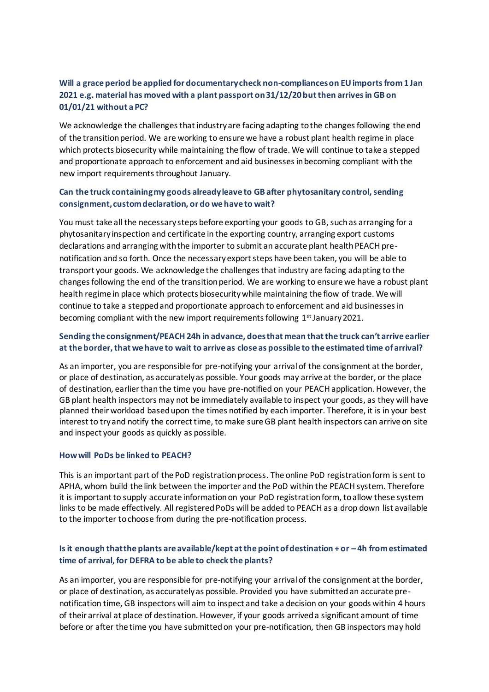# **Will a grace period be applied for documentary check non-compliances on EU imports from 1 Jan 2021 e.g. material has moved with a plant passport on 31/12/20 but then arrives in GB on 01/01/21 without a PC?**

We acknowledge the challenges that industry are facing adapting to the changes following the end of the transition period. We are working to ensure we have a robust plant health regime in place which protects biosecurity while maintaining the flow of trade. We will continue to take a stepped and proportionate approach to enforcement and aid businesses in becoming compliant with the new import requirements throughout January.

# **Can the truck containing my goods already leave to GB after phytosanitary control, sending consignment, custom declaration, or do we have to wait?**

You must take all the necessary steps before exporting your goods to GB, such as arranging for a phytosanitary inspection and certificate in the exporting country, arranging export customs declarations and arranging with the importer to submit an accurate plant health PEACH prenotification and so forth. Once the necessary export steps have been taken, you will be able to transport your goods. We acknowledge the challenges that industry are facing adapting to the changes following the end of the transition period. We are working to ensure we have a robust plant health regime in place which protects biosecurity while maintaining the flow of trade. We will continue to take a stepped and proportionate approach to enforcement and aid businesses in becoming compliant with the new import requirements following 1<sup>st</sup> January 2021.

# **Sending the consignment/PEACH 24h in advance, does that mean that the truck can't arrive earlier at the border, that we have to wait to arrive as close as possible to the estimated time of arrival?**

As an importer, you are responsible for pre-notifying your arrival of the consignment at the border, or place of destination, as accurately as possible. Your goods may arrive at the border, or the place of destination, earlier than the time you have pre-notified on your PEACH application. However, the GB plant health inspectors may not be immediately available to inspect your goods, as they will have planned their workload based upon the times notified by each importer. Therefore, it is in your best interest to try and notify the correct time, to make sure GB plant health inspectors can arrive on site and inspect your goods as quickly as possible.

### **How will PoDs be linked to PEACH?**

This is an important part of the PoD registration process. The online PoD registration form issent to APHA, whom build the link between the importer and the PoD within the PEACH system. Therefore it is important to supply accurate information on your PoD registration form, to allow these system links to be made effectively. All registered PoDs will be added to PEACH as a drop down list available to the importer to choose from during the pre-notification process.

# **Is it enough that the plants are available/kept at the point of destination + or – 4h from estimated time of arrival, for DEFRA to be able to check the plants?**

As an importer, you are responsible for pre-notifying your arrival of the consignment at the border, or place of destination, as accurately as possible. Provided you have submitted an accurate prenotification time, GB inspectors will aim to inspect and take a decision on your goods within 4 hours of their arrival at place of destination. However, if your goods arrived a significant amount of time before or after the time you have submitted on your pre-notification, then GB inspectors may hold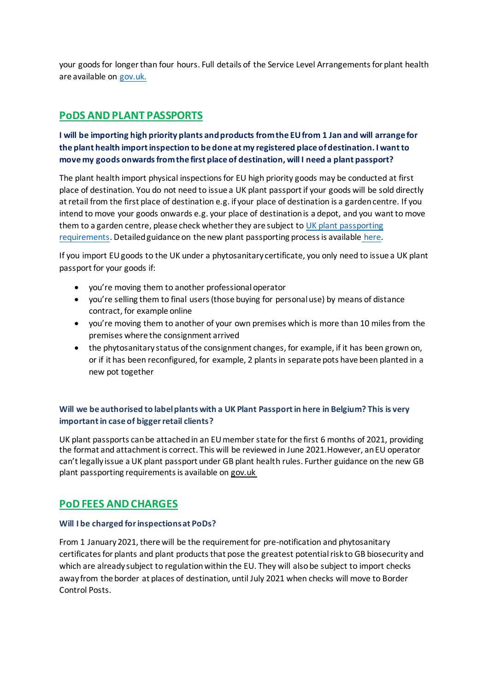your goods for longer than four hours. Full details of the Service Level Arrangements for plant health are available on [gov.uk.](https://www.gov.uk/guidance/place-of-destination-checks-on-high-priority-plants-and-products-from-the-eu-from-1-january-2021)

# **PoDS AND PLANT PASSPORTS**

# **I will be importing high priority plants and products from the EU from 1 Jan and will arrange for the plant health import inspection to be done at my registered place of destination. I want to move my goods onwards from the first place of destination, will I need a plant passport?**

The plant health import physical inspections for EU high priority goods may be conducted at first place of destination. You do not need to issue a UK plant passport if your goods will be sold directly at retail from the first place of destination e.g. if your place of destination is a garden centre. If you intend to move your goods onwards e.g. your place of destination is a depot, and you want to move them to a garden centre, please check whether they are subject to UK plant passporting [requirements.](https://www.gov.uk/guidance/importing-and-exporting-plants-and-plant-products-from-1-january-2021) Detailed guidance on the new plant passporting process is available [here.](https://www.gov.uk/guidance/importing-and-exporting-plants-and-plant-products-from-1-january-2021)

If you import EU goods to the UK under a phytosanitary certificate, you only need to issue a UK plant passport for your goods if:

- you're moving them to another professional operator
- you're selling them to final users (those buying for personal use) by means of distance contract, for example online
- you're moving them to another of your own premises which is more than 10 miles from the premises where the consignment arrived
- the phytosanitary status of the consignment changes, for example, if it has been grown on, or if it has been reconfigured, for example, 2 plants in separate pots have been planted in a new pot together

# **Will we be authorised to label plants with a UK Plant Passport in here in Belgium? This is very important in case of bigger retail clients?**

UK plant passports can be attached in an EU member state for the first 6 months of 2021, providing the format and attachment is correct. This will be reviewed in June 2021.However, an EU operator can't legally issue a UK plant passport under GB plant health rules. Further guidance on the new GB plant passporting requirements is available on [gov.uk](https://www.gov.uk/guidance/importing-and-exporting-plants-and-plant-products-from-1-january-2021#introduction-of-fees-and-charges-on-eu-imports-from-1-april-2021) 

# **PoD FEES AND CHARGES**

### **Will I be charged for inspections at PoDs?**

From 1 January 2021, there will be the requirement for pre-notification and phytosanitary certificates for plants and plant products that pose the greatest potential risk to GB biosecurity and which are already subject to regulation within the EU. They will also be subject to import checks away from the border at places of destination, until July 2021 when checks will move to Border Control Posts.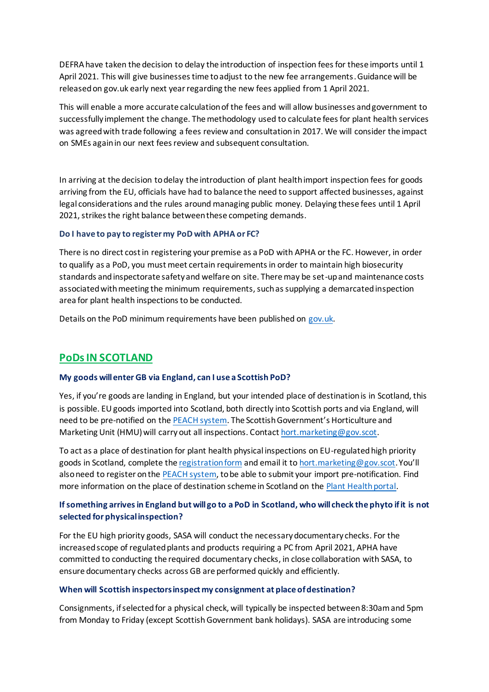DEFRA have taken the decision to delay the introduction of inspection fees for these imports until 1 April 2021. This will give businesses time to adjust to the new fee arrangements. Guidance will be released on gov.uk early next year regarding the new fees applied from 1 April 2021.

This will enable a more accurate calculation of the fees and will allow businesses and government to successfully implement the change. The methodology used to calculate fees for plant health services was agreed with trade following a fees review and consultation in 2017. We will consider the impact on SMEs again in our next fees review and subsequent consultation.

In arriving at the decision to delay the introduction of plant health import inspection fees for goods arriving from the EU, officials have had to balance the need to support affected businesses, against legal considerations and the rules around managing public money. Delaying these fees until 1 April 2021, strikes the right balance between these competing demands.

#### **Do I have to pay to register my PoD with APHA or FC?**

There is no direct cost in registering your premise as a PoD with APHA or the FC. However, in order to qualify as a PoD, you must meet certain requirements in order to maintain high biosecurity standards and inspectorate safety and welfare on site. There may be set-up and maintenance costs associated with meeting the minimum requirements, such as supplying a demarcated inspection area for plant health inspections to be conducted.

Details on the PoD minimum requirements have been published on [gov.uk.](https://www.gov.uk/guidance/place-of-destination-checks-on-high-priority-plants-and-products-from-the-eu-from-1-january-2021)

# **PoDs IN SCOTLAND**

### **My goods will enter GB via England, can I use a Scottish PoD?**

Yes, if you're goods are landing in England, but your intended place of destination is in Scotland, this is possible. EU goods imported into Scotland, both directly into Scottish ports and via England, will need to be pre-notified on th[e PEACH system](http://ehmipeach.defra.gov.uk/). The Scottish Government's Horticulture and Marketing Unit (HMU) will carry out all inspections. Contac[t hort.marketing@gov.scot](mailto:hort.marketing@gov.scot).

To act as a place of destination for plant health physical inspections on EU-regulated high priority goods in Scotland, complete the [registration form](http://www.sasa.gov.uk/document-library/place-destination-pod-registration-form) and email it t[o hort.marketing@gov.scot](mailto:hort.marketing@gov.scot).You'll also need to register on th[e PEACH system,](http://ehmipeach.defra.gov.uk/Default.aspx?Module=Register) to be able to submit your import pre-notification. Find more information on the place of destination scheme in Scotland on th[e Plant Health portal.](https://planthealthportal.defra.gov.uk/assets/uploads/Policy-PSU-PoD-Note-to-Stakeholders-BSS122020.pdf)

## **If something arrives in England but will go to a PoD in Scotland, who will check the phyto if it is not selected for physical inspection?**

For the EU high priority goods, SASA will conduct the necessary documentary checks. For the increased scope of regulated plants and products requiring a PC from April 2021, APHA have committed to conducting the required documentary checks, in close collaboration with SASA, to ensure documentary checks across GB are performed quickly and efficiently.

#### **When will Scottish inspectors inspect my consignment at place of destination?**

Consignments, if selected for a physical check, will typically be inspected between 8:30am and 5pm from Monday to Friday (except Scottish Government bank holidays). SASA are introducing some